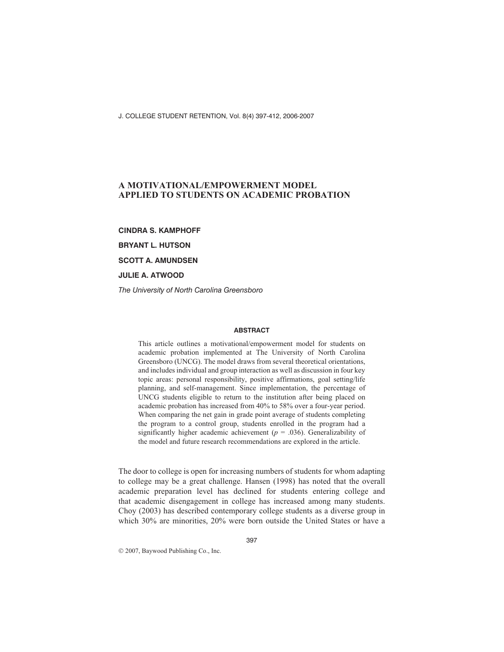J. COLLEGE STUDENT RETENTION, Vol. 8(4) 397-412, 2006-2007

# **A MOTIVATIONAL/EMPOWERMENT MODEL APPLIED TO STUDENTS ON ACADEMIC PROBATION**

**CINDRA S. KAMPHOFF**

**BRYANT L. HUTSON**

**SCOTT A. AMUNDSEN**

**JULIE A. ATWOOD**

*The University of North Carolina Greensboro*

#### **ABSTRACT**

This article outlines a motivational/empowerment model for students on academic probation implemented at The University of North Carolina Greensboro (UNCG). The model draws from several theoretical orientations, and includes individual and group interaction as well as discussion in four key topic areas: personal responsibility, positive affirmations, goal setting/life planning, and self-management. Since implementation, the percentage of UNCG students eligible to return to the institution after being placed on academic probation has increased from 40% to 58% over a four-year period. When comparing the net gain in grade point average of students completing the program to a control group, students enrolled in the program had a significantly higher academic achievement ( $p = .036$ ). Generalizability of the model and future research recommendations are explored in the article.

The door to college is open for increasing numbers of students for whom adapting to college may be a great challenge. Hansen (1998) has noted that the overall academic preparation level has declined for students entering college and that academic disengagement in college has increased among many students. Choy (2003) has described contemporary college students as a diverse group in which 30% are minorities, 20% were born outside the United States or have a

2007, Baywood Publishing Co., Inc.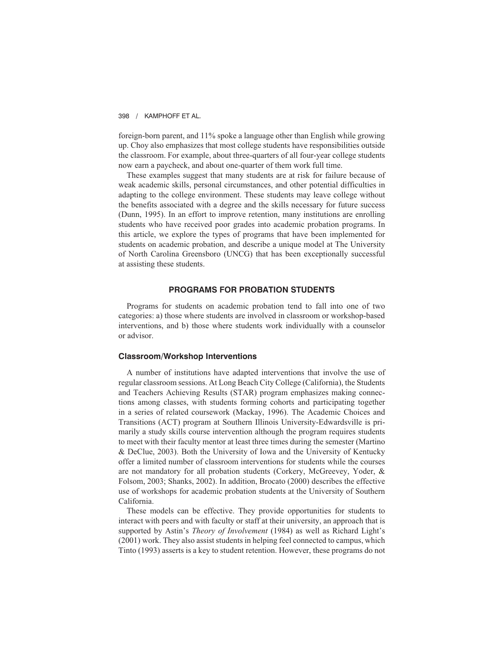foreign-born parent, and 11% spoke a language other than English while growing up. Choy also emphasizes that most college students have responsibilities outside the classroom. For example, about three-quarters of all four-year college students now earn a paycheck, and about one-quarter of them work full time.

These examples suggest that many students are at risk for failure because of weak academic skills, personal circumstances, and other potential difficulties in adapting to the college environment. These students may leave college without the benefits associated with a degree and the skills necessary for future success (Dunn, 1995). In an effort to improve retention, many institutions are enrolling students who have received poor grades into academic probation programs. In this article, we explore the types of programs that have been implemented for students on academic probation, and describe a unique model at The University of North Carolina Greensboro (UNCG) that has been exceptionally successful at assisting these students.

## **PROGRAMS FOR PROBATION STUDENTS**

Programs for students on academic probation tend to fall into one of two categories: a) those where students are involved in classroom or workshop-based interventions, and b) those where students work individually with a counselor or advisor.

## **Classroom/Workshop Interventions**

A number of institutions have adapted interventions that involve the use of regular classroom sessions. At Long Beach City College (California), the Students and Teachers Achieving Results (STAR) program emphasizes making connections among classes, with students forming cohorts and participating together in a series of related coursework (Mackay, 1996). The Academic Choices and Transitions (ACT) program at Southern Illinois University-Edwardsville is primarily a study skills course intervention although the program requires students to meet with their faculty mentor at least three times during the semester (Martino & DeClue, 2003). Both the University of Iowa and the University of Kentucky offer a limited number of classroom interventions for students while the courses are not mandatory for all probation students (Corkery, McGreevey, Yoder, & Folsom, 2003; Shanks, 2002). In addition, Brocato (2000) describes the effective use of workshops for academic probation students at the University of Southern California.

These models can be effective. They provide opportunities for students to interact with peers and with faculty or staff at their university, an approach that is supported by Astin's *Theory of Involvement* (1984) as well as Richard Light's (2001) work. They also assist students in helping feel connected to campus, which Tinto (1993) asserts is a key to student retention. However, these programs do not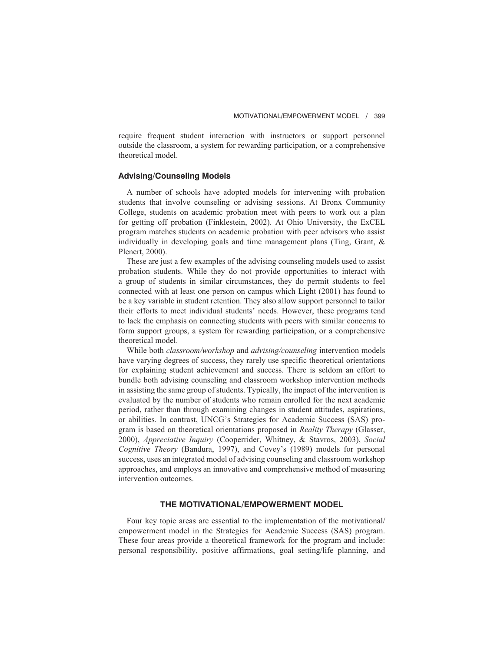require frequent student interaction with instructors or support personnel outside the classroom, a system for rewarding participation, or a comprehensive theoretical model.

# **Advising/Counseling Models**

A number of schools have adopted models for intervening with probation students that involve counseling or advising sessions. At Bronx Community College, students on academic probation meet with peers to work out a plan for getting off probation (Finklestein, 2002). At Ohio University, the ExCEL program matches students on academic probation with peer advisors who assist individually in developing goals and time management plans (Ting, Grant, & Plenert, 2000).

These are just a few examples of the advising counseling models used to assist probation students. While they do not provide opportunities to interact with a group of students in similar circumstances, they do permit students to feel connected with at least one person on campus which Light (2001) has found to be a key variable in student retention. They also allow support personnel to tailor their efforts to meet individual students' needs. However, these programs tend to lack the emphasis on connecting students with peers with similar concerns to form support groups, a system for rewarding participation, or a comprehensive theoretical model.

While both *classroom/workshop* and *advising/counseling* intervention models have varying degrees of success, they rarely use specific theoretical orientations for explaining student achievement and success. There is seldom an effort to bundle both advising counseling and classroom workshop intervention methods in assisting the same group of students. Typically, the impact of the intervention is evaluated by the number of students who remain enrolled for the next academic period, rather than through examining changes in student attitudes, aspirations, or abilities. In contrast, UNCG's Strategies for Academic Success (SAS) program is based on theoretical orientations proposed in *Reality Therapy* (Glasser, 2000), *Appreciative Inquiry* (Cooperrider, Whitney, & Stavros, 2003), *Social Cognitive Theory* (Bandura, 1997), and Covey's (1989) models for personal success, uses an integrated model of advising counseling and classroom workshop approaches, and employs an innovative and comprehensive method of measuring intervention outcomes.

## **THE MOTIVATIONAL/EMPOWERMENT MODEL**

Four key topic areas are essential to the implementation of the motivational/ empowerment model in the Strategies for Academic Success (SAS) program. These four areas provide a theoretical framework for the program and include: personal responsibility, positive affirmations, goal setting/life planning, and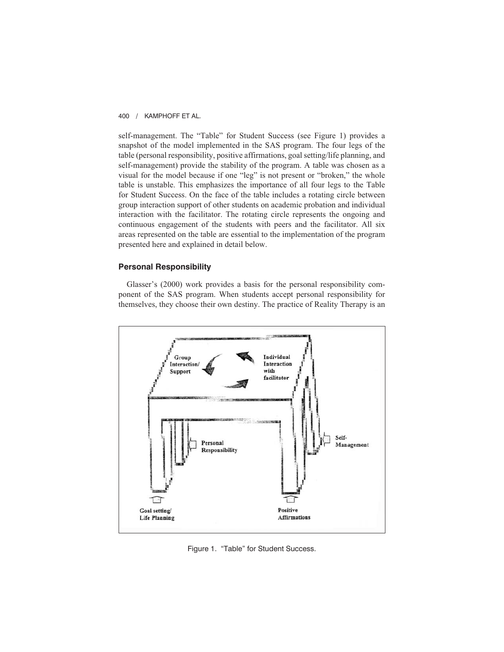self-management. The "Table" for Student Success (see Figure 1) provides a snapshot of the model implemented in the SAS program. The four legs of the table (personal responsibility, positive affirmations, goal setting/life planning, and self-management) provide the stability of the program. A table was chosen as a visual for the model because if one "leg" is not present or "broken," the whole table is unstable. This emphasizes the importance of all four legs to the Table for Student Success. On the face of the table includes a rotating circle between group interaction support of other students on academic probation and individual interaction with the facilitator. The rotating circle represents the ongoing and continuous engagement of the students with peers and the facilitator. All six areas represented on the table are essential to the implementation of the program presented here and explained in detail below.

## **Personal Responsibility**

Glasser's (2000) work provides a basis for the personal responsibility component of the SAS program. When students accept personal responsibility for themselves, they choose their own destiny. The practice of Reality Therapy is an



Figure 1. "Table" for Student Success.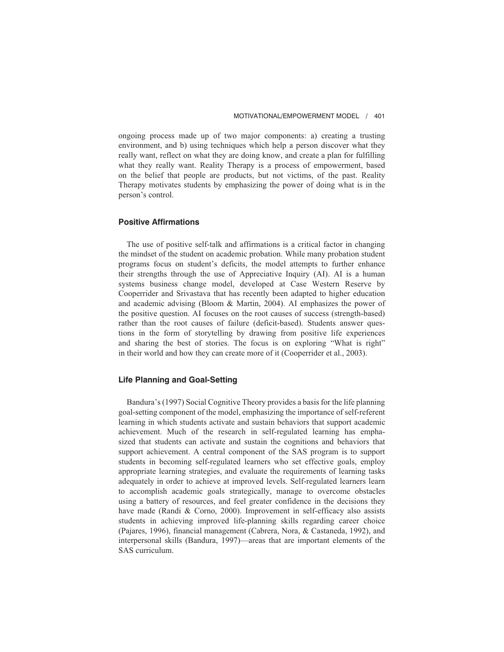ongoing process made up of two major components: a) creating a trusting environment, and b) using techniques which help a person discover what they really want, reflect on what they are doing know, and create a plan for fulfilling what they really want. Reality Therapy is a process of empowerment, based on the belief that people are products, but not victims, of the past. Reality Therapy motivates students by emphasizing the power of doing what is in the person's control.

## **Positive Affirmations**

The use of positive self-talk and affirmations is a critical factor in changing the mindset of the student on academic probation. While many probation student programs focus on student's deficits, the model attempts to further enhance their strengths through the use of Appreciative Inquiry (AI). AI is a human systems business change model, developed at Case Western Reserve by Cooperrider and Srivastava that has recently been adapted to higher education and academic advising (Bloom & Martin, 2004). AI emphasizes the power of the positive question. AI focuses on the root causes of success (strength-based) rather than the root causes of failure (deficit-based). Students answer questions in the form of storytelling by drawing from positive life experiences and sharing the best of stories. The focus is on exploring "What is right" in their world and how they can create more of it (Cooperrider et al., 2003).

## **Life Planning and Goal-Setting**

Bandura's (1997) Social Cognitive Theory provides a basis for the life planning goal-setting component of the model, emphasizing the importance of self-referent learning in which students activate and sustain behaviors that support academic achievement. Much of the research in self-regulated learning has emphasized that students can activate and sustain the cognitions and behaviors that support achievement. A central component of the SAS program is to support students in becoming self-regulated learners who set effective goals, employ appropriate learning strategies, and evaluate the requirements of learning tasks adequately in order to achieve at improved levels. Self-regulated learners learn to accomplish academic goals strategically, manage to overcome obstacles using a battery of resources, and feel greater confidence in the decisions they have made (Randi & Corno, 2000). Improvement in self-efficacy also assists students in achieving improved life-planning skills regarding career choice (Pajares, 1996), financial management (Cabrera, Nora, & Castaneda, 1992), and interpersonal skills (Bandura, 1997)—areas that are important elements of the SAS curriculum.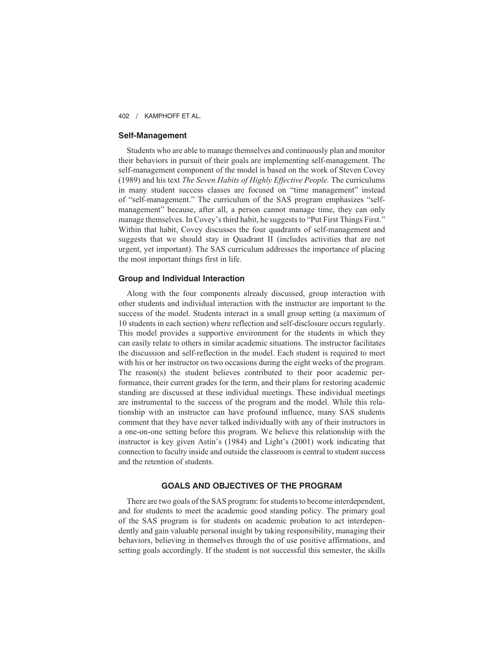### **Self-Management**

Students who are able to manage themselves and continuously plan and monitor their behaviors in pursuit of their goals are implementing self-management. The self-management component of the model is based on the work of Steven Covey (1989) and his text *The Seven Habits of Highly Effective People.* The curriculums in many student success classes are focused on "time management" instead of "self-management." The curriculum of the SAS program emphasizes "selfmanagement" because, after all, a person cannot manage time, they can only manage themselves. In Covey's third habit, he suggests to "Put First Things First." Within that habit, Covey discusses the four quadrants of self-management and suggests that we should stay in Quadrant II (includes activities that are not urgent, yet important). The SAS curriculum addresses the importance of placing the most important things first in life.

### **Group and Individual Interaction**

Along with the four components already discussed, group interaction with other students and individual interaction with the instructor are important to the success of the model. Students interact in a small group setting (a maximum of 10 students in each section) where reflection and self-disclosure occurs regularly. This model provides a supportive environment for the students in which they can easily relate to others in similar academic situations. The instructor facilitates the discussion and self-reflection in the model. Each student is required to meet with his or her instructor on two occasions during the eight weeks of the program. The reason(s) the student believes contributed to their poor academic performance, their current grades for the term, and their plans for restoring academic standing are discussed at these individual meetings. These individual meetings are instrumental to the success of the program and the model. While this relationship with an instructor can have profound influence, many SAS students comment that they have never talked individually with any of their instructors in a one-on-one setting before this program. We believe this relationship with the instructor is key given Astin's (1984) and Light's (2001) work indicating that connection to faculty inside and outside the classroom is central to student success and the retention of students.

## **GOALS AND OBJECTIVES OF THE PROGRAM**

There are two goals of the SAS program: for students to become interdependent, and for students to meet the academic good standing policy. The primary goal of the SAS program is for students on academic probation to act interdependently and gain valuable personal insight by taking responsibility, managing their behaviors, believing in themselves through the of use positive affirmations, and setting goals accordingly. If the student is not successful this semester, the skills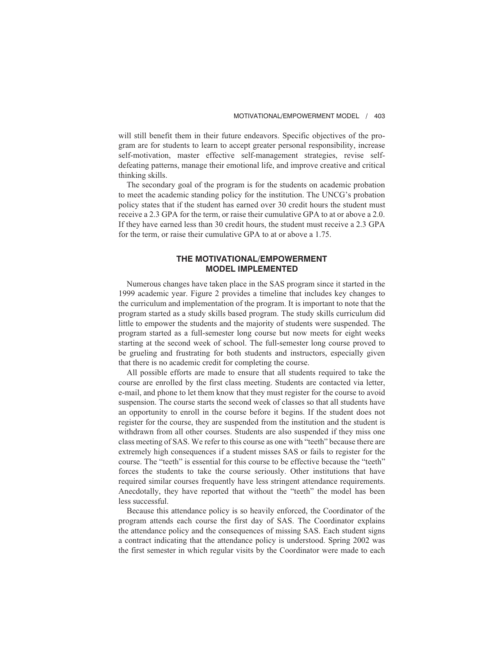will still benefit them in their future endeavors. Specific objectives of the program are for students to learn to accept greater personal responsibility, increase self-motivation, master effective self-management strategies, revise selfdefeating patterns, manage their emotional life, and improve creative and critical thinking skills.

The secondary goal of the program is for the students on academic probation to meet the academic standing policy for the institution. The UNCG's probation policy states that if the student has earned over 30 credit hours the student must receive a 2.3 GPA for the term, or raise their cumulative GPA to at or above a 2.0. If they have earned less than 30 credit hours, the student must receive a 2.3 GPA for the term, or raise their cumulative GPA to at or above a 1.75.

# **THE MOTIVATIONAL/EMPOWERMENT MODEL IMPLEMENTED**

Numerous changes have taken place in the SAS program since it started in the 1999 academic year. Figure 2 provides a timeline that includes key changes to the curriculum and implementation of the program. It is important to note that the program started as a study skills based program. The study skills curriculum did little to empower the students and the majority of students were suspended. The program started as a full-semester long course but now meets for eight weeks starting at the second week of school. The full-semester long course proved to be grueling and frustrating for both students and instructors, especially given that there is no academic credit for completing the course.

All possible efforts are made to ensure that all students required to take the course are enrolled by the first class meeting. Students are contacted via letter, e-mail, and phone to let them know that they must register for the course to avoid suspension. The course starts the second week of classes so that all students have an opportunity to enroll in the course before it begins. If the student does not register for the course, they are suspended from the institution and the student is withdrawn from all other courses. Students are also suspended if they miss one class meeting of SAS. We refer to this course as one with "teeth" because there are extremely high consequences if a student misses SAS or fails to register for the course. The "teeth" is essential for this course to be effective because the "teeth" forces the students to take the course seriously. Other institutions that have required similar courses frequently have less stringent attendance requirements. Anecdotally, they have reported that without the "teeth" the model has been less successful.

Because this attendance policy is so heavily enforced, the Coordinator of the program attends each course the first day of SAS. The Coordinator explains the attendance policy and the consequences of missing SAS. Each student signs a contract indicating that the attendance policy is understood. Spring 2002 was the first semester in which regular visits by the Coordinator were made to each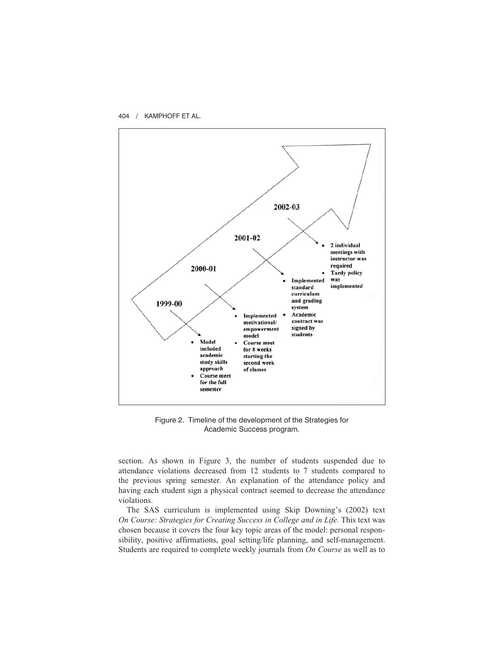

Figure 2. Timeline of the development of the Strategies for Academic Success program.

section. As shown in Figure 3, the number of students suspended due to attendance violations decreased from 12 students to 7 students compared to the previous spring semester. An explanation of the attendance policy and having each student sign a physical contract seemed to decrease the attendance violations.

The SAS curriculum is implemented using Skip Downing's (2002) text *On Course: Strategies for Creating Success in College and in Life.* This text was chosen because it covers the four key topic areas of the model: personal responsibility, positive affirmations, goal setting/life planning, and self-management. Students are required to complete weekly journals from *On Course* as well as to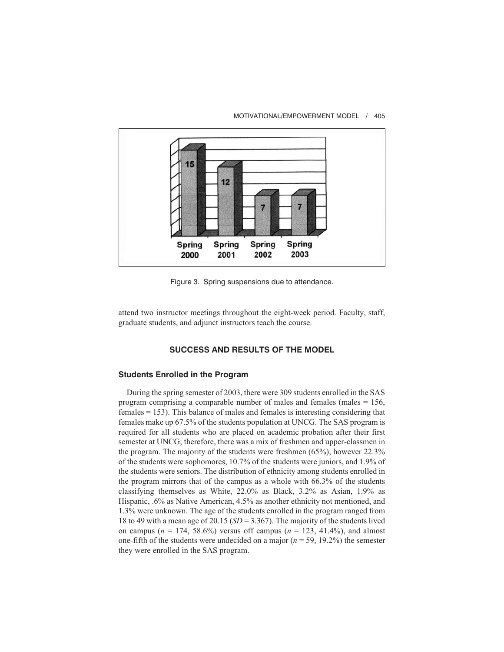

#### MOTIVATIONAL/EMPOWERMENT MODEL / 405

Figure 3. Spring suspensions due to attendance.

attend two instructor meetings throughout the eight-week period. Faculty, staff, graduate students, and adjunct instructors teach the course.

# **SUCCESS AND RESULTS OF THE MODEL**

## **Students Enrolled in the Program**

During the spring semester of 2003, there were 309 students enrolled in the SAS program comprising a comparable number of males and females (males  $= 156$ , females = 153). This balance of males and females is interesting considering that females make up 67.5% of the students population at UNCG. The SAS program is required for all students who are placed on academic probation after their first semester at UNCG; therefore, there was a mix of freshmen and upper-classmen in the program. The majority of the students were freshmen (65%), however 22.3% of the students were sophomores, 10.7% of the students were juniors, and 1.9% of the students were seniors. The distribution of ethnicity among students enrolled in the program mirrors that of the campus as a whole with 66.3% of the students classifying themselves as White, 22.0% as Black, 3.2% as Asian, 1.9% as Hispanic, .6% as Native American, 4.5% as another ethnicity not mentioned, and 1.3% were unknown. The age of the students enrolled in the program ranged from 18 to 49 with a mean age of 20.15 (*SD* = 3.367). The majority of the students lived on campus ( $n = 174$ , 58.6%) versus off campus ( $n = 123$ , 41.4%), and almost one-fifth of the students were undecided on a major  $(n = 59, 19.2\%)$  the semester they were enrolled in the SAS program.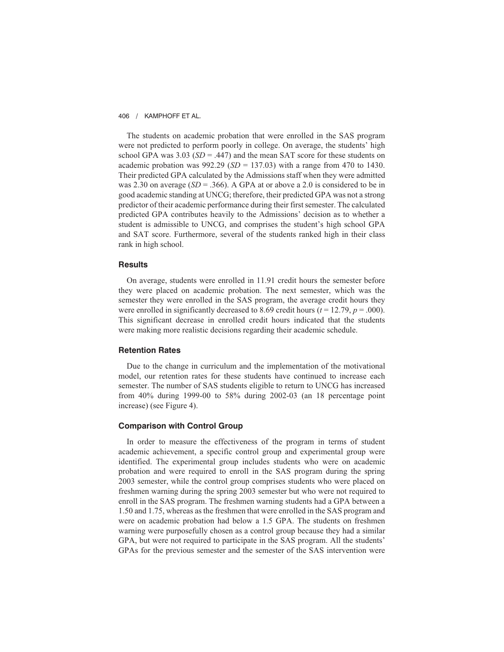The students on academic probation that were enrolled in the SAS program were not predicted to perform poorly in college. On average, the students' high school GPA was  $3.03$  ( $SD = .447$ ) and the mean SAT score for these students on academic probation was  $992.29$  ( $SD = 137.03$ ) with a range from 470 to 1430. Their predicted GPA calculated by the Admissions staff when they were admitted was 2.30 on average  $(SD = .366)$ . A GPA at or above a 2.0 is considered to be in good academic standing at UNCG; therefore, their predicted GPA was not a strong predictor of their academic performance during their first semester. The calculated predicted GPA contributes heavily to the Admissions' decision as to whether a student is admissible to UNCG, and comprises the student's high school GPA and SAT score. Furthermore, several of the students ranked high in their class rank in high school.

### **Results**

On average, students were enrolled in 11.91 credit hours the semester before they were placed on academic probation. The next semester, which was the semester they were enrolled in the SAS program, the average credit hours they were enrolled in significantly decreased to 8.69 credit hours ( $t = 12.79$ ,  $p = .000$ ). This significant decrease in enrolled credit hours indicated that the students were making more realistic decisions regarding their academic schedule.

### **Retention Rates**

Due to the change in curriculum and the implementation of the motivational model, our retention rates for these students have continued to increase each semester. The number of SAS students eligible to return to UNCG has increased from 40% during 1999-00 to 58% during 2002-03 (an 18 percentage point increase) (see Figure 4).

## **Comparison with Control Group**

In order to measure the effectiveness of the program in terms of student academic achievement, a specific control group and experimental group were identified. The experimental group includes students who were on academic probation and were required to enroll in the SAS program during the spring 2003 semester, while the control group comprises students who were placed on freshmen warning during the spring 2003 semester but who were not required to enroll in the SAS program. The freshmen warning students had a GPA between a 1.50 and 1.75, whereas as the freshmen that were enrolled in the SAS program and were on academic probation had below a 1.5 GPA. The students on freshmen warning were purposefully chosen as a control group because they had a similar GPA, but were not required to participate in the SAS program. All the students' GPAs for the previous semester and the semester of the SAS intervention were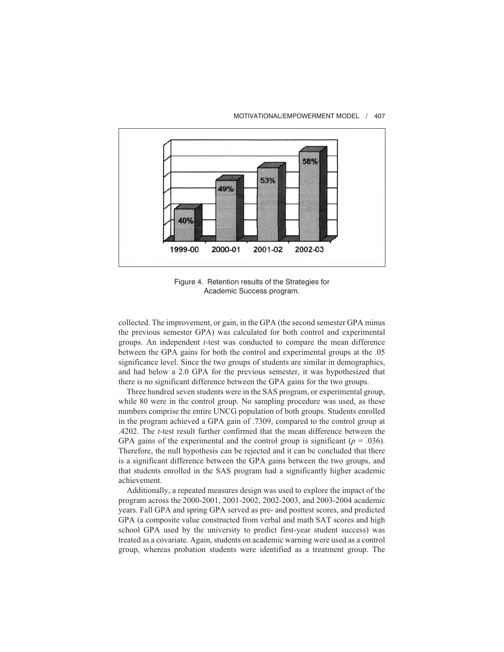

#### MOTIVATIONAL/EMPOWERMENT MODEL / 407

Figure 4. Retention results of the Strategies for Academic Success program.

collected. The improvement, or gain, in the GPA (the second semester GPA minus the previous semester GPA) was calculated for both control and experimental groups. An independent *t*-test was conducted to compare the mean difference between the GPA gains for both the control and experimental groups at the .05 significance level. Since the two groups of students are similar in demographics, and had below a 2.0 GPA for the previous semester, it was hypothesized that there is no significant difference between the GPA gains for the two groups.

Three hundred seven students were in the SAS program, or experimental group, while 80 were in the control group. No sampling procedure was used, as these numbers comprise the entire UNCG population of both groups. Students enrolled in the program achieved a GPA gain of .7309, compared to the control group at .4202. The *t*-test result further confirmed that the mean difference between the GPA gains of the experimental and the control group is significant ( $p = .036$ ). Therefore, the null hypothesis can be rejected and it can be concluded that there is a significant difference between the GPA gains between the two groups, and that students enrolled in the SAS program had a significantly higher academic achievement.

Additionally, a repeated measures design was used to explore the impact of the program across the 2000-2001, 2001-2002, 2002-2003, and 2003-2004 academic years. Fall GPA and spring GPA served as pre- and posttest scores, and predicted GPA (a composite value constructed from verbal and math SAT scores and high school GPA used by the university to predict first-year student success) was treated as a covariate. Again, students on academic warning were used as a control group, whereas probation students were identified as a treatment group. The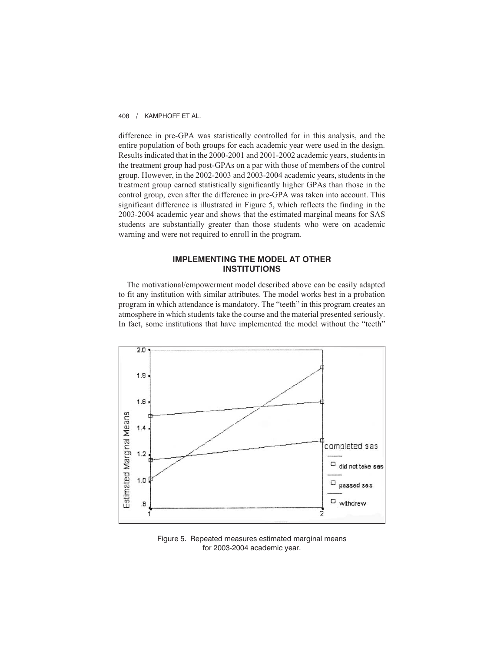difference in pre-GPA was statistically controlled for in this analysis, and the entire population of both groups for each academic year were used in the design. Results indicated that in the 2000-2001 and 2001-2002 academic years, students in the treatment group had post-GPAs on a par with those of members of the control group. However, in the 2002-2003 and 2003-2004 academic years, students in the treatment group earned statistically significantly higher GPAs than those in the control group, even after the difference in pre-GPA was taken into account. This significant difference is illustrated in Figure 5, which reflects the finding in the 2003-2004 academic year and shows that the estimated marginal means for SAS students are substantially greater than those students who were on academic warning and were not required to enroll in the program.

# **IMPLEMENTING THE MODEL AT OTHER INSTITUTIONS**

The motivational/empowerment model described above can be easily adapted to fit any institution with similar attributes. The model works best in a probation program in which attendance is mandatory. The "teeth" in this program creates an atmosphere in which students take the course and the material presented seriously. In fact, some institutions that have implemented the model without the "teeth"



Figure 5. Repeated measures estimated marginal means for 2003-2004 academic year.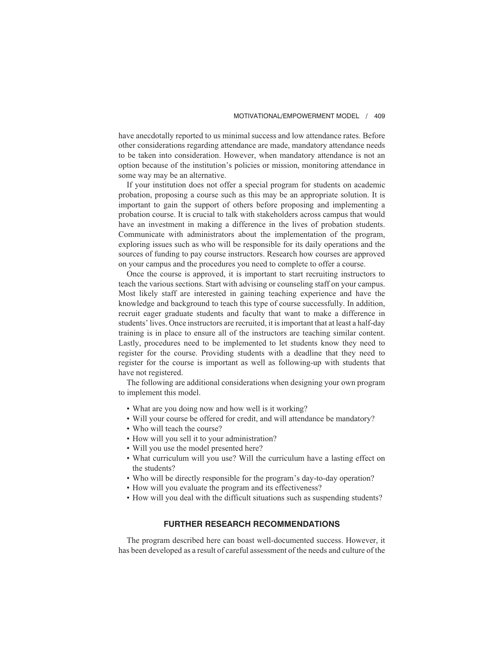have anecdotally reported to us minimal success and low attendance rates. Before other considerations regarding attendance are made, mandatory attendance needs to be taken into consideration. However, when mandatory attendance is not an option because of the institution's policies or mission, monitoring attendance in some way may be an alternative.

If your institution does not offer a special program for students on academic probation, proposing a course such as this may be an appropriate solution. It is important to gain the support of others before proposing and implementing a probation course. It is crucial to talk with stakeholders across campus that would have an investment in making a difference in the lives of probation students. Communicate with administrators about the implementation of the program, exploring issues such as who will be responsible for its daily operations and the sources of funding to pay course instructors. Research how courses are approved on your campus and the procedures you need to complete to offer a course.

Once the course is approved, it is important to start recruiting instructors to teach the various sections. Start with advising or counseling staff on your campus. Most likely staff are interested in gaining teaching experience and have the knowledge and background to teach this type of course successfully. In addition, recruit eager graduate students and faculty that want to make a difference in students' lives. Once instructors are recruited, it is important that at least a half-day training is in place to ensure all of the instructors are teaching similar content. Lastly, procedures need to be implemented to let students know they need to register for the course. Providing students with a deadline that they need to register for the course is important as well as following-up with students that have not registered.

The following are additional considerations when designing your own program to implement this model.

- What are you doing now and how well is it working?
- Will your course be offered for credit, and will attendance be mandatory?
- Who will teach the course?
- How will you sell it to your administration?
- Will you use the model presented here?
- What curriculum will you use? Will the curriculum have a lasting effect on the students?
- Who will be directly responsible for the program's day-to-day operation?
- How will you evaluate the program and its effectiveness?
- How will you deal with the difficult situations such as suspending students?

### **FURTHER RESEARCH RECOMMENDATIONS**

The program described here can boast well-documented success. However, it has been developed as a result of careful assessment of the needs and culture of the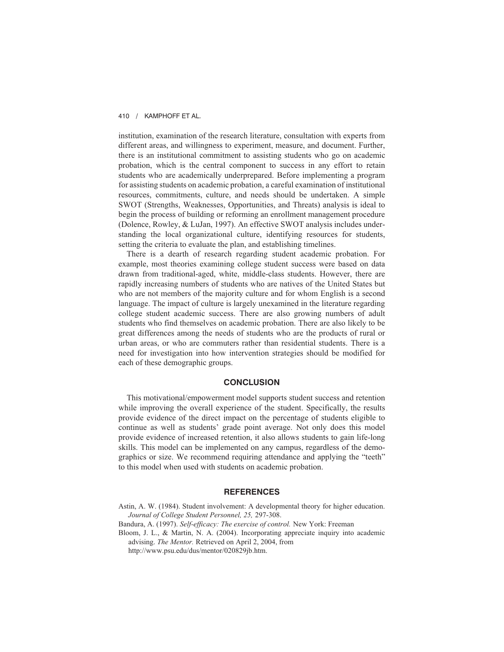institution, examination of the research literature, consultation with experts from different areas, and willingness to experiment, measure, and document. Further, there is an institutional commitment to assisting students who go on academic probation, which is the central component to success in any effort to retain students who are academically underprepared. Before implementing a program for assisting students on academic probation, a careful examination of institutional resources, commitments, culture, and needs should be undertaken. A simple SWOT (Strengths, Weaknesses, Opportunities, and Threats) analysis is ideal to begin the process of building or reforming an enrollment management procedure (Dolence, Rowley, & LuJan, 1997). An effective SWOT analysis includes understanding the local organizational culture, identifying resources for students, setting the criteria to evaluate the plan, and establishing timelines.

There is a dearth of research regarding student academic probation. For example, most theories examining college student success were based on data drawn from traditional-aged, white, middle-class students. However, there are rapidly increasing numbers of students who are natives of the United States but who are not members of the majority culture and for whom English is a second language. The impact of culture is largely unexamined in the literature regarding college student academic success. There are also growing numbers of adult students who find themselves on academic probation. There are also likely to be great differences among the needs of students who are the products of rural or urban areas, or who are commuters rather than residential students. There is a need for investigation into how intervention strategies should be modified for each of these demographic groups.

#### **CONCLUSION**

This motivational/empowerment model supports student success and retention while improving the overall experience of the student. Specifically, the results provide evidence of the direct impact on the percentage of students eligible to continue as well as students' grade point average. Not only does this model provide evidence of increased retention, it also allows students to gain life-long skills. This model can be implemented on any campus, regardless of the demographics or size. We recommend requiring attendance and applying the "teeth" to this model when used with students on academic probation.

#### **REFERENCES**

Astin, A. W. (1984). Student involvement: A developmental theory for higher education. *Journal of College Student Personnel, 25,* 297-308.

Bandura, A. (1997). *Self-efficacy: The exercise of control.* New York: Freeman

Bloom, J. L., & Martin, N. A. (2004). Incorporating appreciate inquiry into academic advising. *The Mentor.* Retrieved on April 2, 2004, from

http://www.psu.edu/dus/mentor/020829jb.htm.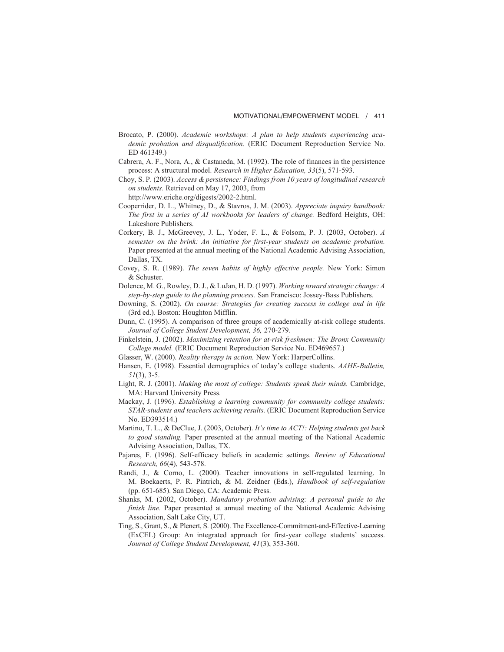- Brocato, P. (2000). *Academic workshops: A plan to help students experiencing academic probation and disqualification.* (ERIC Document Reproduction Service No. ED 461349.)
- Cabrera, A. F., Nora, A., & Castaneda, M. (1992). The role of finances in the persistence process: A structural model. *Research in Higher Education, 33*(5), 571-593.
- Choy, S. P. (2003). *Access & persistence: Findings from 10 years of longitudinal research on students.* Retrieved on May 17, 2003, from http://www.eriche.org/digests/2002-2.html.
- Cooperrider, D. L., Whitney, D., & Stavros, J. M. (2003). *Appreciate inquiry handbook: The first in a series of AI workbooks for leaders of change.* Bedford Heights, OH: Lakeshore Publishers.
- Corkery, B. J., McGreevey, J. L., Yoder, F. L., & Folsom, P. J. (2003, October). *A semester on the brink: An initiative for first-year students on academic probation.* Paper presented at the annual meeting of the National Academic Advising Association, Dallas, TX.
- Covey, S. R. (1989). *The seven habits of highly effective people.* New York: Simon & Schuster.
- Dolence, M. G., Rowley, D. J., & LuJan, H. D. (1997). *Working toward strategic change: A step-by-step guide to the planning process.* San Francisco: Jossey-Bass Publishers.
- Downing, S. (2002). *On course: Strategies for creating success in college and in life* (3rd ed.). Boston: Houghton Mifflin.
- Dunn, C. (1995). A comparison of three groups of academically at-risk college students. *Journal of College Student Development, 36,* 270-279.
- Finkelstein, J. (2002). *Maximizing retention for at-risk freshmen: The Bronx Community College model.* (ERIC Document Reproduction Service No. ED469657.)
- Glasser, W. (2000). *Reality therapy in action.* New York: HarperCollins.
- Hansen, E. (1998). Essential demographics of today's college students. *AAHE-Bulletin, 51*(3), 3-5.
- Light, R. J. (2001). *Making the most of college: Students speak their minds.* Cambridge, MA: Harvard University Press.
- Mackay, J. (1996). *Establishing a learning community for community college students: STAR-students and teachers achieving results.* (ERIC Document Reproduction Service No. ED393514.)
- Martino, T. L., & DeClue, J. (2003, October). *It's time to ACT!: Helping students get back to good standing.* Paper presented at the annual meeting of the National Academic Advising Association, Dallas, TX.
- Pajares, F. (1996). Self-efficacy beliefs in academic settings. *Review of Educational Research, 66*(4), 543-578.
- Randi, J., & Corno, L. (2000). Teacher innovations in self-regulated learning. In M. Boekaerts, P. R. Pintrich, & M. Zeidner (Eds.), *Handbook of self-regulation* (pp. 651-685). San Diego, CA: Academic Press.
- Shanks, M. (2002, October). *Mandatory probation advising: A personal guide to the finish line.* Paper presented at annual meeting of the National Academic Advising Association, Salt Lake City, UT.
- Ting, S., Grant, S., & Plenert, S. (2000). The Excellence-Commitment-and-Effective-Learning (ExCEL) Group: An integrated approach for first-year college students' success. *Journal of College Student Development, 41*(3), 353-360.